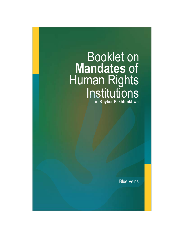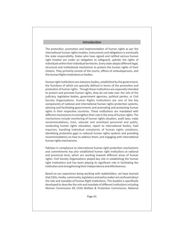#### *Introduction*

The protection, promotion and implementation of human rights as per the international human rights treaties, instruments and obligations is eventually the state responsibility. States who have signed and ratified various human right treatise are under an obligation to safeguard, uphold, the rights of individuals within their individual territories. Every state adopts different legal, structural and institutional mechanism to protect the human rights of their citizens. They primarily consist of the courts, offices of ombudspersons, and the Human Rights Institutions or bodies.

Human right institutions are statutory bodies, established by the government, the functions of which are specially defined in terms of the promotion and protection of human rights. Though these institutions are especially intended to protect and promote human rights, they do not take over the role of the judiciary, legislative bodies, government agencies, political parties, or Civil Society Organizations. Human Rights Institutions are one of the key components of national and international human rights protection systems, advising and facilitating governments and promoting and protecting human rights in their respective countries. These institutions are mandated with different mechanisms to strengthen their role in the area of human rights. The mechanisms include monitoring of human rights situation, audit laws, make recommendations, train, educate and sensitized personnel and public, conducting human rights education; report to international bodies, hold inquiries, handling individual complaints of human rights violations; identifying protection gaps in national human rights systems and providing recommendations on how to address them; and engaging with international human rights mechanisms.

Pakistan in compliance to international human right protection mechanisms and commitments has also established human right institutions at national and provincial level, which are working towards different areas of human rights. Civil Society Organizations played key role in establishing the human right institutions and has been playing its significant role in facilitating the institution and strengthening their independence and effectiveness.

Based on our experience being working with stakeholders, we have learned that CSOs, media, community, legislators and policy maker are confused about the role and mandate of Human Right Institutions. This booklet is specifically developed to describe the role and mandate of different institutions including Women Commission KP, Child Welfare & Protection Commission, National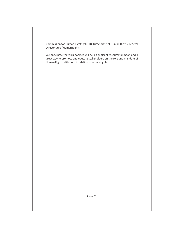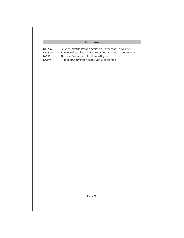### *Acronyms*

| <b>KPCSW</b>  | Khyber Pakhtunkhwa Commission On the Status of Women       |
|---------------|------------------------------------------------------------|
| <b>KPCPWC</b> | Khyber Pakhtunkhwa Child Protection and Welfare Commission |
| NCHR          | National Commission for Human Rights                       |
| <b>NCSW</b>   | National Commission on the Status of Women                 |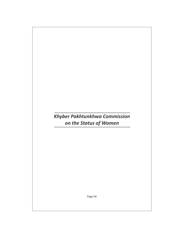### *Khyber Pakhtunkhwa Commission on the Status of Women*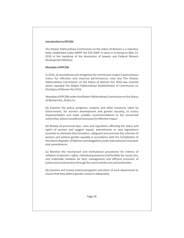#### **Introduction to KPCSW**

The Khyber Pakhtunkhwa Commission on the status of Women is a statutory body established under NWFP Act X1X 2009. It came in to being on May 13, 2010 in the backdrop of the devolution of powers and Federal Women Development Ministry.

#### **Mandate of KPCSW**

In 2016, to reconstitute and reorganize the commission to give it autonomous status for effective and improve performance, new law The Khyber Pakhtunkhwa Commission on the Status of Women Act 2016 was enacted which repealed The Khyber Pakhtunkhwa Establishment of Commission on the Status of Women Act 2016.

Mandate of KPCSW under the Khyber Pakhtunkhwa Commission on the Status of Women Act, 2016 is to:

(a) Examine the policy, programs, projects and other measures taken by Government, for women development and gender equality, to assess implementation and make suitable recommendations to the concerned authorities, where considered necessary for effective impact.

(b) Review all provincial laws, rules and regulations affecting the status and rights of women and suggest repeal, amendments or new legislations essential to eliminate discrimination, safeguard and promote the interests of women and achieve gender equality in accordance with the Constitution of the Islamic Republic of Pakistan and obligations under International Covenants and commitments.

(c) Monitor the mechanism and institutional procedures for redress of violation of women's rights, individual grievances and facilities for social care, and undertake initiative for beer management and efficient provision of justice and social services through the concerned forums and authorities.

(d) Examine and review policies/programs and plans of each department to ensure that they address gender concerns adequately.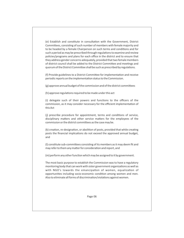(e) Establish and constitute in consultation with the Government, District Committees, consisting of such number of members with female majority and to be headed by a female Chairperson on such terms and conditions and for such a period as may be prescribed through regulations to examine and review policies/programs and plans for each office in the district and to ensure that they address gender concerns adequately, provided that two female members of district council shall be added to the District Committee and meetings and quorum of the District Committee shall be such as prescribed by regulations.

(f) Provide guidelines to a District Committee for implementation and receive periodic reports on the implementation status to the Commission.

(g) approve annual budget of the commission and of the district committees

 $(h)$  approve regulations required to be made under this act

(i) delegate such of their powers and functions to the officers of the commission, as it may consider necessary for the efficient implementation of this Act

(i) prescribe procedure for appointment, terms and conditions of service, disciplinary matters and other service matters for the employees of the commission or the district committees as the case may be.

 $(k)$  creation, re-designation, or abolition of posts, provided that while creating posts the financial implications do not exceed the approved annual budget, and

(I) constitute sub-committees consisting of its members as it may deem fit and may refer to them any matter for consideration and report, and

(m) perform any other function which may be assigned to it by government.

The most basic purpose to establish the Commission was to have a regulatory monitoring body that can work with sister government organizations as well as with NGO's towards the emancipation of women, equalization of opportunities including socio-economic condition among women and men. Also to eliminate all forms of discrimination/violations against women.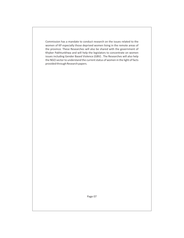Commission has a mandate to conduct research on the issues related to the women of KP especially those deprived women living in the remote areas of the province. These Researches will also be shared with the government of Khyber Pakhtunkhwa and will help the legislators to concentrate on women issues including Gender Based Violence (GBV) . The Researches will also help the NGO sector to understand the current status of women in the light of facts provided through Research papers.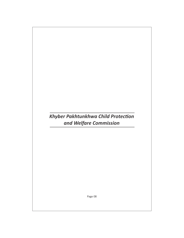### $K$ hyber Pakhtunkhwa Child Protection *and Welfare Commission*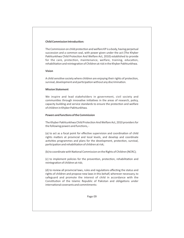#### **Child Commission Introduction:**

The Commission on child protection and welfare KP is a body, having perpetual succession and a common seal, with power given under the act (The Khyber Pakhtunkhwa Child Protection And Welfare Act, 2010) established to provide for the care, protection, maintenance, welfare, training, education, rehabilitation and reintegration of Children at risk in the Khyber Pakhtunkhwa.

#### **Vision**

A child sensitive society where children are enjoying their rights of protection, survival, development and participation without any discrimination.

#### **Mission Statement**

We inspire and lead stakeholders in government, civil society and communities through innovative initiatives in the areas of research, policy, capacity building and service standards to ensure the protection and welfare of children in Khyber Pakhtunkhwa.

#### **Powers and functions of the Commission**

The Khyber Pakhtunkhwa Child Protection And Welfare Act, 2010 providers for the following powers and functions, -

(a) to act as a focal point for effective supervision and coordination of child rights matters at provincial and local levels, and develop and coordinate activities programmes and plans for the development, protection, survival, participation and rehabilitation of children at risk;

(b) to coordinate with National Commission on the Rights of Children (NCRC);

(c) to implement policies for the prevention, protection, rehabilitation and reintegration of children at risk;

(d) to review all provincial laws, rules and regulations affecting the status and rights of children and propose new laws in this behalf, wherever necessary, to safeguard and promote the interest of child in accordance with the Constitution of the Islamic Republic of Pakistan and obligations under international covenants and commitments: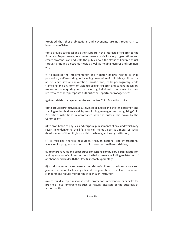Provided that these obligations and covenants are not repugnant to injunctions of Islam;

(e) to provide technical and other support in the interests of children to the Provincial Departments, local governments or civil society organizations and create awareness and educate the public about the status of Children at risk through print and electronic media as well as holding lectures and seminars etc;

(f) to monitor the implementation and violation of laws related to child protection, welfare and rights including prevention of child labor, child sexual abuse, child sexual exploitation, prostitution, child pornography, child trafficking and any form of violence against children and to take necessary measures by enquiring into or referring individual complaints for their redressal to other appropriate Authorities or Departments or Agencies;

(g) to establish, manage, supervise and control Child Protection Units;

(h) to provide protective measures, inter alia, food and shelter, education and training to the children at risk by establishing, managing and recognizing Child Protection Institutions in accordance with the criteria laid down by the Commission;

(i) to prohibition of physical and corporal punishments of any kind which may result in endangering the life, physical, mental, spiritual, moral or social development of the child, both within the family, and in any institution;

(i) to mobilize financial resources, through national and international agencies, for programs relating to child protection, welfare and rights;

(k) to improve rules and procedures concerning compulsory birth registration and registration of children without birth documents including registration of an abandoned child with the State filling for his parentage;

(I) to reform, monitor and ensure the safety of children in residential care and juvenile detention facilities by efficient reorganization to meet with minimum standards and regular monitoring of each such institution;

(m) to build a rapid-response child protection intervention capability for provincial level emergencies such as natural disasters or the outbreak of armed conflict;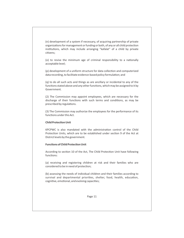(n) development of a system if necessary, of acquiring partnership of private organizations for management or funding or both, of any or all child protection institutions, which may include arranging "kafalat" of a child by private citizens;

(o) to revise the minimum age of criminal responsibility to a nationally acceptable level;

(p) development of a uniform structure for data collection and computerized data recording, to facilitate evidence-based policy formulation; and

(q) to do all such acts and things as are ancillary or incidental to any of the functions stated above and any other functions, which may be assigned to it by Government.

(2) The Commission may appoint employees, which are necessary for the discharge of their functions with such terms and conditions, as may be prescribed by regulations.

(3) The Commission may authorize the employees for the performance of its functions under this Act.

#### **Child Protection Unit**

KPCPWC is also mandated with the administration control of the Child Protection Units, which are to be established under section 9 of the Act at District levels by the government.

#### **Functions of Child Protection Unit**

According to section 10 of the Act, The Child Protection Unit have following functions:

(a) receiving and registering children at risk and their families who are considered to be in need of protection;

(b) assessing the needs of individual children and their families according to survival and departmental priorities, shelter, food, health, education, cognitive, emotional, and evolving capacities;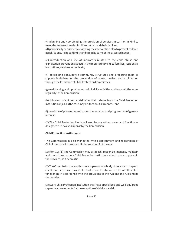(c) planning and coordinating the provision of services in cash or in kind to meet the assessed needs of children at risk and their families; (d) periodically or quarterly reviewing the intervention plan to protect children at risk, to ensure its continuity and capacity to meet the assessed needs;

(e) introduction and use of indicators related to the child abuse and exploitation prevention aspects in the monitoring visits to families, residential institutions, services, schools etc;

(f) developing consultative community structures and preparing them to support initiatives for the prevention of abuse, neglect and exploitation through the formation of Child Protection Committees;

(g) maintaining and updating record of all its activities and transmit the same regularly to the Commission;

(h) follow-up of children at risk after their release from the Child Protection Institution or jail, as the case may be, for about six months; and

(i) provision of preventive and protective services and programmes of general interest.

(2) The Child Protection Unit shall exercise any other power and function as delegated or devolved upon it by the Commission.

#### **Child Protection Institutions:**

The Commissions is also mandated with establishment and recognition of Child Protection Institutions. Under section 12 of the Act:

Section 12: (1) The Commission may establish, recognize, manage, maintain and control one or more Child Protection Institutions at such place or places in the Province, as it deems fit.

(2) The Commission may authorize any person or a body of persons to inspect, check and supervise any Child Protection Institution as to whether it is functioning in accordance with the provisions of this Act and the rules made thereunder.

(3) Every Child Protection Institution shall have specialized and well-equipped separate arrangements for the reception of children at risk.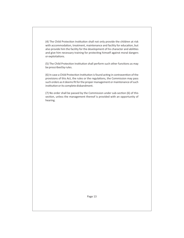(4) The Child Protection Institution shall not only provide the children at risk with accommodation, treatment, maintenance and facility for education, but also provide him the facility for the development of his character and abilities and give him necessary training for protecting himself against moral dangers or exploitations.

(5) The Child Protection Institution shall perform such other functions as may be prescribed by rules.

(6) In case a Child Protection Institution is found acting in contravention of the provisions of this Act, the rules or the regulations, the Commission may pass such orders as it deems fit for the proper management or maintenance of such institution or its complete disbandment.

 $(7)$  No order shall be passed by the Commission under sub-section  $(6)$  of this section, unless the management thereof is provided with an opportunity of hearing.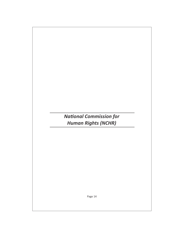## **National Commission for** *Human Rights (NCHR)*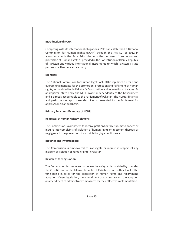#### **Introduction of NCHR**

Complying with its international obligations, Pakistan established a National Commission for Human Rights (NCHR) through the Act XVI of 2012 in accordance with the Paris Principles with the purpose of promotion and protection of Human Rights as provided in the Constitution of Islamic Republic of Pakistan and various international instruments to which Pakistan is state party or shall become a state party.

#### **Mandate**

The National Commission for Human Rights Act, 2012 stipulates a broad and overarching mandate for the promotion, protection and fulfillment of human rights, as provided for in Pakistan's Constitution and international treaties. As an impartial state body, the NCHR works independently of the Government and is directly accountable to the Parliament of Pakistan. The NCHR's financial and performance reports are also directly presented to the Parliament for approval on an annual basis.

#### **Primary Functions/Mandate of NCHR**

#### **Redressal of human rights violations:**

The Commission is competent to receive petitions or take suo-moto notices or inquire into complaints of violation of human rights or abetment thereof; or negligence in the prevention of such violation, by a public servant.

#### **Inquiries and Investigation:**

The Commission is empowered to investigate or inquire in respect of any incident of violation of human rights in Pakistan.

#### **Review of the Legislation:**

The Commission is competent to review the safeguards provided by or under the Constitution of the Islamic Republic of Pakistan or any other law for the time being in force for the protection of human rights and recommend adoption of new legislation, the amendment of existing law and the adoption or amendment of administrative measures for their effective implementation.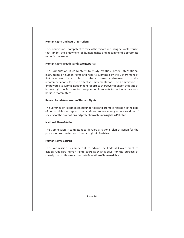#### **Human Rights and Acts of Terrorism:**

The Commission is competent to review the factors, including acts of terrorism that inhibit the enjoyment of human rights and recommend appropriate remedial measures.

#### **Human Rights Treaties and State Reports:**

The Commission is competent to study treaties, other international instruments on human rights and reports submitted by the Government of Pakistan on them including the comments thereon, to make recommendations for their effective implementation. The Commission is empowered to submit independent reports to the Government on the State of human rights in Pakistan for incorporation in reports to the United Nations' bodies or committees.

#### **Research and Awareness of Human Rights:**

The Commission is competent to undertake and promote research in the field of human rights and spread human rights literacy among various sections of society for the promotion and protection of human rights in Pakistan.

#### **National Plan of Action:**

The Commission is competent to develop a national plan of action for the promotion and protection of human rights in Pakistan.

#### **Human Rights Courts:**

The Commission is competent to advice the Federal Government to establish/declare human rights court at District Level for the purpose of speedy trial of offences arising out of violation of human rights.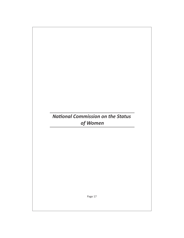### **National Commission on the Status**  *of Women*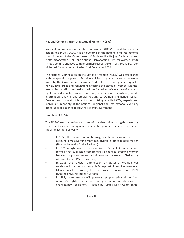#### **National Commission on the Status of Women (NCSW)**

National Commission on the Status of Women (NCSW) is a statutory body, established in July 2000. It is an outcome of the national and international commitments of the Government of Pakistan like Beijing Declaration and Platform for Action, 1995; and National Plan of Action (NPA) for Women, 1998. Three Commissions have completed their respective term of three years. Term of the last Commission expired on 31st December, 2008.

The National Commission on the Status of Women (NCSW) was established with the specific purpose to: Examine policies, programs and other measures taken by the Government for women's development and gender equality; Review laws, rules and regulations affecting the status of women; Monitor mechanisms and institutional procedures for redress of violations of women's rights and individual grievances; Encourage and sponsor research to generate information, analysis and studies relating to women and gender issues; Develop and maintain interaction and dialogue with NGOs, experts and individuals in society at the national, regional and international level; any other function assigned to it by the Federal Government.

#### **Evolution of NCSW**

The NCSW was the logical outcome of the determined struggle waged by women activists over many years. Four contemporary commissions preceded the establishment of NCSW;

- In 1955, the commission on Marriage and family laws was setup to examine laws governing marriage, divorce & other related matter. (Headed by Justice Abdur Rasheed)
- In 1975, a high powered Pakistan Women's Rights Committee was formed that suggested comprehensive changes affecting women besides proposing several administrative measures. (Chaired by Attorney General Yahya Bakhtyar)
- In 1983, the Pakistan Commission on Status of Women was established to ascertain the rights & responsibilities of women in an Islamic society. However, its report was suppressed until 1989. (Chaired by Muhtarma Zari Sarfaraz)
- In 1987, the commission of inquiry was set up to review all laws from women's rights perspective and give recommendations for changes/new legislation. (Headed by Justice Nasir Aslam Zahid)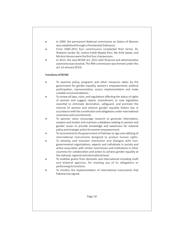- In 2000, the permanent National commission on Status of Women was established through a Presidential Ordinance.
- From 2000-2012 four commissions completed their terms. Dr. Shaheen Sardar Ali, Justice (retd) Majida Rizvi, Ms Arifa Syeda, and Ms Anis Haroon were the first four chairpersons.
- In 2013, the new NCSW act, 2012 with financial and administrative autonomy was enacted. The fifth commission was formed under this act. (in January 2013).

#### **Functions of NCSW**

- To examine policy, programs and other measures taken by the government for gender equality, women's empowerment, political participation, representation; assess implementation and make suitable recommendations.
- To review all laws, rules, and regulations affecting the status of rights of women and suggest repeal, amendment, or new legislation essential to eliminate decimation, safeguard, and promote the interest of women and achieve gender equality before law in accordance with the constitution and obligations under international covenants and commitments.
- To sponsor, steer, encourage research to generate information, analysis and studies and maintain a database relating to women and gender issues to provide knowledge and awareness for national policy and strategic action for women empowerment.
- To recommend to the government of Pakistan to sign and ratifying of international instruments designed to protect human rights.
- To develop and maintain interaction and dialogue with nongovernmental organizations, experts and individuals in society and active association with similar commission and institutions in other countries for collaboration and action to achieve gender equality at the national, regional and international level.
- To mobilize grants from domestic and international including multi and bilateral agencies, for meeting any of its obligations or performing its functions.
- To monitor the implementation of international instruments that Pakistan has signed.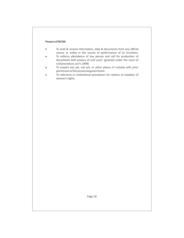#### **Powers of NCSW**

- To seek & receive information, data & documents from any official source or entity in the course of performance of its functions.
- To enforce attendance of any person and call for production of documents with powers of civil court. (granted under the court of civil procedure, act V, 1908)
- To inspect any jail, sub jail, or other places of custody with prior permission of the provincial government.
- To intervene in institutional procedures for redress of violation of women's rights.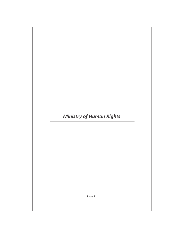# *Ministry of Human Rights*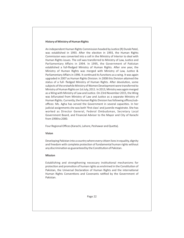#### **History of Ministry of Human Rights**

An independent Human Rights Commission headed by Justice (R) Durab Patel, was established in 1993. After the election in 1993, the Human Rights Commission was converted into a cell in the Ministry of Interior to deal with Human Rights issues. The cell was transferred to Ministry of Law, Justice and Parliamentary Affairs in 1994. In 1995, the Government of Pakistan established a full-fledged Ministry of Human Rights. After one year, the Ministry of Human Rights was merged with Ministry of Law, Justice & Parliamentary Affairs in 1996. It continued its functions as a wing. It was again upgraded in 2007 as Human Rights Division. In 2008 this Division attained the status of a full- fledged Ministry of Human Rights. After devolution, some subjects of the erstwhile Ministry of Women Development were transferred to Ministry of Human Rights on 1st July, 2011. In 2013, Ministry was again merged as a Wing with Ministry of Law and Justice. On 23rd November 2015, the Wing was bifurcated from Ministry of Law and Justice as a separate Ministry of Human Rights. Currently, the Human Rights Division has following offices/suboffices: Ms. Agha has served the Government in several capacities. In her judicial assignments she was both 'first class' and juvenile magistrate. She has worked as Director General, Federal Ombudsman, Secretary Local Government Board, and Financial Advisor to the Mayor and City of Karachi from 1998 to 2000.

Four Regional Offices (Karachi, Lahore, Peshawar and Quetta).

#### **Vision**

Developing Pakistan into a country where every citizen lives in equality, dignity and freedom with complete protection of fundamental human rights without any discrimination as guaranteed by the Constitution of Pakistan.

#### **Mission**

Establishing and strengthening necessary institutional mechanisms for protection and promotion of human rights as enshrined in the Constitution of Pakistan, the Universal Declaration of Human Rights and the international Human Rights Conventions and Covenants ratified by the Government of Pakistan.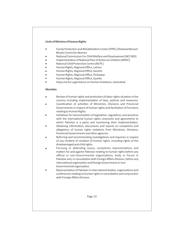#### **Units of Ministry of Human Rights**

- Family Protection and Rehabilitation Center (FPRC) / Shaheed Benazir Bhutto Centre for Women
- National Commission For Child Welfare and Development (NCCWD)
- Implementation of National Plan of Action on Children (INPAC)
- National Child Protection Centre (NCPC)
- · Human Rights, Regional Office, Lahore
- · Human Rights, Regional Office, Karachi
- · Human Rights, Regional Office, Peshawar
- Human Rights, Regional Office, Quetta
- Help Line for Legal Advice on Human Violations, Islamabad

#### **Mandate**

- Review of human rights and protection of labor rights situation in the country including implementation of laws, policies and measures.
- Coordination of activities of Ministries, Divisions and Provincial Governments in respect of human rights and facilitation of functions relating to Human Rights.
- Initiatives for harmonization of legislation, regulations and practices with the international human rights covenants and agreements to which Pakistan is a party and monitoring their implementation.
- Obtaining information, documents and reports on complaints and allegations of human rights violations from Ministries, Divisions, Provincial Governments and other agencies.
- Referring and recommending investigations and inquiries in respect of any incident of violation of human rights, including rights of the disadvantaged and child rights.
- Pursuing or defending issues, complaints representations and matters for and against Pakistan relating to human rights before any official or non-Governmental organizations, body or forum in Pakistan and, in consultation with Foreign Affairs Division, before any international organization and foreign Government or non-Governmental organization.
- Representation of Pakistan in international bodies, organizations and conferences relating to human rights in consultation and conjunction with Foreign Affairs Division.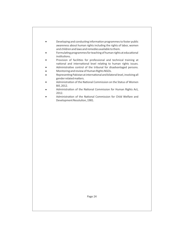- Developing and conducting information programmes to foster public awareness about human rights including the rights of labor, women and children and laws and remedies available to them.
- Formulating programmes for teaching of human rights at educational institutions.
- Provision of facilities for professional and technical training at national and international level relating to human rights issues.
- Administrative control of the tribunal for disadvantaged persons.
- · Monitoring and review of Human Rights NGOs.
- Representing Pakistan at international and bilateral level, involving all gender related matters.
- Administration of the National Commission on the Status of Women Bill, 2012.
- Administration of the National Commission for Human Rights Act, 2012.
- Administration of the National Commission for Child Welfare and Development Resolution, 1981.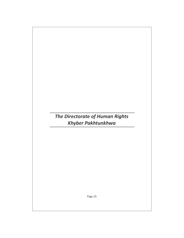## *The Directorate of Human Rights Khyber Pakhtunkhwa*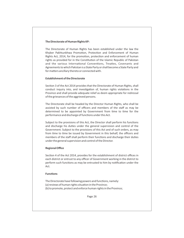#### **The Directorate of Human Rights KP:**

The Directorate of Human Rights has been established under the law the Khyber Pakhtunkhwa Promotion, Protection and Enforcement of Human Rights Act, 2014, for the promotion, protection and enforcement of human rights as provided for in the Constitution of the Islamic Republic of Pakistan and the various International Conventions, Treaties, Covenants and Agreements to which Pakistan is a State Party or shall become a State Party and for matters ancillary thereto or connected with.

#### **Establishment of the Directorate**

Section 3 of the Act 2014 provides that the Directorate of Human Rights, shall conduct inquiry into, and investigation of, human rights violations in the Province and shall provide adequate relief as deem appropriate for redressal of the grievances of the aggrieved persons.

The Directorate shall be headed by the Director Human Rights, who shall be assisted by such number of officers and members of the staff as may be determined to be appointed by Government from time to time for the performance and discharge of functions under this Act.

Subject to the provisions of this Act, the Director shall perform his functions and discharge his duties under the general supervision and control of the Government. Subject to the provisions of this Act and of such orders, as may from time to time be issued by Government in this behalf, the officers and members of the staff shall perform their functions and discharge their duties under the general supervision and control of the Director.

#### **Regional Office**

Section 4 of the Act 2014, provides for the establishment of district offices in each district or entrust to any officer of Government working in the district to perform such functions as may be entrusted to him by notification under the Act.

#### **Functions**

The Directorate have following powers and functions, namely: (a) reviews of human rights situation in the Province; (b) to promote, protect and enforce human rights in the Province;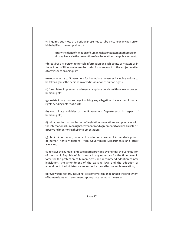(c) inquires, suo moto or a petition presented to it by a victim or any person on his behalf into the complaints of-

> (i) any incident of violation of human rights or abatement thereof; or (ii) negligence in the prevention of such violation, by a public servant;

(d) requires any person to furnish information on such points or matters as in the opinion of Directorate may be useful for or relevant to the subject matter of any inspection or inquiry;

(e) recommends to Government for immediate measures including actions to be taken against the persons involved in violation of human rights;

(f) formulates, implement and regularly update policies with a view to protect human rights;

(g) assists in any proceedings involving any allegation of violation of human rights pending before a Court;

(h) co-ordinate activities of the Government Departments, in respect of human rights;

(i) initiatives for harmonization of legislation, regulations and practices with the international human rights covenants and agreements to which Pakistan is a party and monitoring their implementation;

(j) obtains information, documents and reports on complaints and allegations of human rights violations, from Government Departments and other agencies;

(k) reviews the human rights safeguards provided by or under the Constitution of the Islamic Republic of Pakistan or in any other law for the time being in force for the protection of human rights and recommend adoption of new legislation, the amendment of the existing laws and the adoption or amendment of administrative measures for their effective implementation;

(l) reviews the factors, including, acts of terrorism, that inhabit the enjoyment of human rights and recommend appropriate remedial measures;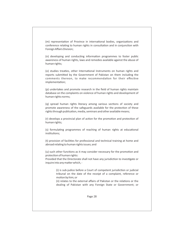(m) representation of Province in international bodies, organizations and conference relating to human rights in consultation and in conjunction with Foreign Affairs Division;

(n) developing and conducting information programmes to foster public awareness of human rights, laws and remedies available against the abuse of human rights;

(o) studies treaties, other International Instruments on human rights and reports submitted by the Government of Pakistan on them including the comments thereon, to make recommendation for their effective implementation;

(p) undertakes and promote research in the field of human rights maintain database on the complaints on violence of human rights and development of human rights norms;

(q) spread human rights literacy among various sections of society and promote awareness of the safeguards available for the protection of these rights through publication, media, seminars and other available means;

(r) develops a provincial plan of action for the promotion and protection of human rights;

(s) formulating programmes of reaching of human rights at educational institutions:

(t) provision of facilities for professional and technical training at home and abroad relating to human rights issues; and

(u) such other functions as it may consider necessary for the promotion and protection of human rights:

Provided that the Directorate shall not have any jurisdiction to investigate or inquire into any matter which, -

> (i) is sub-judice before a Court of competent jurisdiction or judicial tribunal on the date of the receipt of a complaint, reference or motion by him; or

> (ii) relates to the external affairs of Pakistan or the relations or the dealing of Pakistan with any Foreign State or Government; or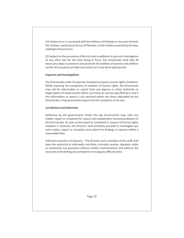(iii) relates to or is connected with the defence of Pakistan or any part thereof, the military, naval and air forces of Pakistan, or the matters covered by the laws relating to those forces.

(2) Subject to the provisions of this Act and in addition to and not in derogation of any other law for the time being in force, the Directorate shall take all necessary steps to preserve and promote the welfare of women and children and for this purpose can take such action as it may deem appropriate.

#### **Inquiries and Investigations**

The Directorate under the law has mandate to inquire human rights violations. While inquiring the complaints of violation of human rights, the Directorate may call for information or report from any Agency or other Authority or Organization of Government within such time as may be specified by it and if the information or report is not received within the times stipulated by the Directorate, it may proceed to inquire into the complaint on its own.

#### **Jurisdiction and Indemnity**

Reference by the government: Under the law Government may, refer any matter, report or complaint for inquiry and independent recommendations to the Directorate. As soon as the report or complaint in respect of human rights violation is received, the Director shall promptly proceed to investigate any such matter, report or complaint and submit his findings or opinion within a reasonable time.

Informal resolution of disputes: The Director and a member of the staff shall have the authority to informally conciliate, amicably resolve, stipulate, settle or ameliorate any grievance without written memorandum and without the necessity of docketing any complaint or issuing any official notice.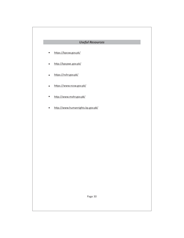### *Useful Resources*

- https://kpcsw.gov.pk/  $\bullet$
- http://kpcpwc.gov.pk/  $\bullet$
- https://nchr.gov.pk/  $\bullet$
- https://www.ncsw.gov.pk/  $\bullet$
- http://www.mohr.gov.pk/  $\bullet$
- http://www.humanrights.kp.gov.pk/  $\bullet$